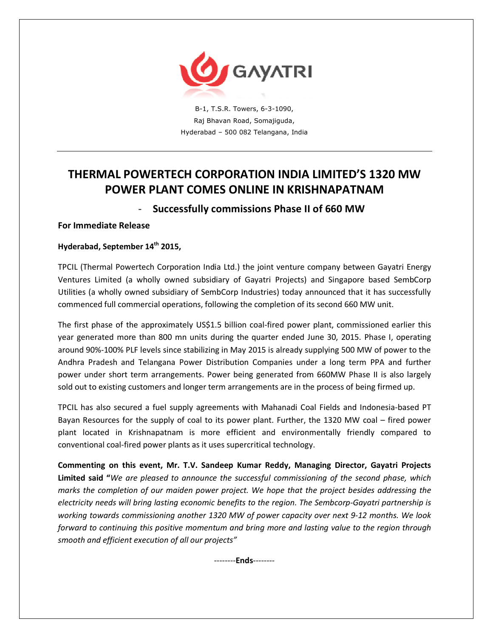

B-1, T.S.R. Towers, 6-3-1090, Raj Bhavan Road, Somajiguda, Hyderabad – 500 082 Telangana, India

# **THERMAL POWERTECH CORPORATION INDIA LIMITED'S 1320 MW POWER PLANT COMES ONLINE IN KRISHNAPATNAM**

# - **Successfully commissions Phase II of 660 MW**

## **For Immediate Release**

## **Hyderabad, September 14th 2015,**

TPCIL (Thermal Powertech Corporation India Ltd.) the joint venture company between Gayatri Energy Ventures Limited (a wholly owned subsidiary of Gayatri Projects) and Singapore based SembCorp Utilities (a wholly owned subsidiary of SembCorp Industries) today announced that it has successfully commenced full commercial operations, following the completion of its second 660 MW unit.

The first phase of the approximately US\$1.5 billion coal-fired power plant, commissioned earlier this year generated more than 800 mn units during the quarter ended June 30, 2015. Phase I, operating around 90%-100% PLF levels since stabilizing in May 2015 is already supplying 500 MW of power to the Andhra Pradesh and Telangana Power Distribution Companies under a long term PPA and further power under short term arrangements. Power being generated from 660MW Phase II is also largely sold out to existing customers and longer term arrangements are in the process of being firmed up.

TPCIL has also secured a fuel supply agreements with Mahanadi Coal Fields and Indonesia-based PT Bayan Resources for the supply of coal to its power plant. Further, the 1320 MW coal – fired power plant located in Krishnapatnam is more efficient and environmentally friendly compared to conventional coal-fired power plants as it uses supercritical technology.

**Commenting on this event, Mr. T.V. Sandeep Kumar Reddy, Managing Director, Gayatri Projects Limited said "***We are pleased to announce the successful commissioning of the second phase, which marks the completion of our maiden power project. We hope that the project besides addressing the electricity needs will bring lasting economic benefits to the region. The Sembcorp-Gayatri partnership is working towards commissioning another 1320 MW of power capacity over next 9-12 months. We look forward to continuing this positive momentum and bring more and lasting value to the region through smooth and efficient execution of all our projects"* 

--------**Ends**--------